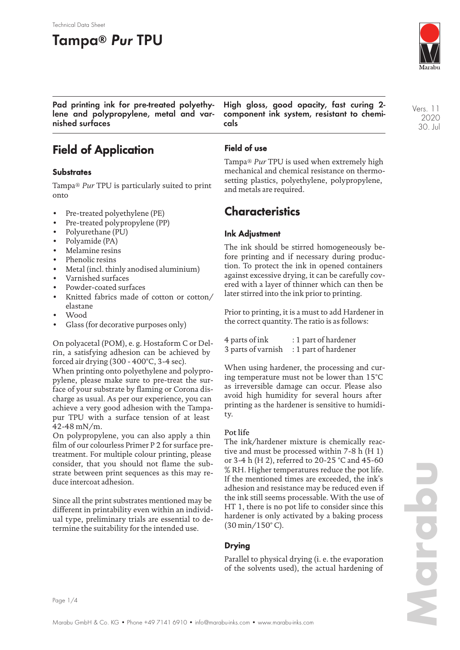# **Tampa® Pur TPU**

Technical Data Sheet



Vers. 11 2020 30. Jul

**Pad printing ink for pre-treated polyethylene and polypropylene, metal and varnished surfaces**

## **Field of Application**

#### **Substrates**

Tampa® *Pur* TPU is particularly suited to print onto

- Pre-treated polyethylene (PE)
- Pre-treated polypropylene (PP)
- Polyurethane (PU)
- Polyamide (PA)
- Melamine resins
- Phenolic resins
- Metal (incl. thinly anodised aluminium)
- Varnished surfaces
- Powder-coated surfaces
- Knitted fabrics made of cotton or cotton/ elastane
- Wood
- Glass (for decorative purposes only)

On polyacetal (POM), e. g. Hostaform C or Delrin, a satisfying adhesion can be achieved by forced air drying (300 - 400°C, 3-4 sec).

When printing onto polyethylene and polypropylene, please make sure to pre-treat the surface of your substrate by flaming or Corona discharge as usual. As per our experience, you can achieve a very good adhesion with the Tampapur TPU with a surface tension of at least 42-48 mN/m.

On polypropylene, you can also apply a thin film of our colourless Primer P 2 for surface pretreatment. For multiple colour printing, please consider, that you should not flame the substrate between print sequences as this may reduce intercoat adhesion.

Since all the print substrates mentioned may be different in printability even within an individual type, preliminary trials are essential to determine the suitability for the intended use.

**High gloss, good opacity, fast curing 2 component ink system, resistant to chemicals**

#### **Field of use**

Tampa® *Pur* TPU is used when extremely high mechanical and chemical resistance on thermosetting plastics, polyethylene, polypropylene, and metals are required.

### **Characteristics**

#### **Ink Adjustment**

The ink should be stirred homogeneously before printing and if necessary during production. To protect the ink in opened containers against excessive drying, it can be carefully covered with a layer of thinner which can then be later stirred into the ink prior to printing.

Prior to printing, it is a must to add Hardener in the correct quantity. The ratio is as follows:

| 4 parts of ink     | : 1 part of hardener |
|--------------------|----------------------|
| 3 parts of varnish | : 1 part of hardener |

When using hardener, the processing and curing temperature must not be lower than 15°C as irreversible damage can occur. Please also avoid high humidity for several hours after printing as the hardener is sensitive to humidity.

#### Pot life

The ink/hardener mixture is chemically reactive and must be processed within 7-8 h (H 1) or 3-4 h (H 2), referred to 20-25 °C and 45-60 % RH. Higher temperatures reduce the pot life. If the mentioned times are exceeded, the ink's adhesion and resistance may be reduced even if the ink still seems processable. With the use of HT 1, there is no pot life to consider since this hardener is only activated by a baking process (30 min/150° C).

#### **Drying**

Parallel to physical drying (i. e. the evaporation of the solvents used), the actual hardening of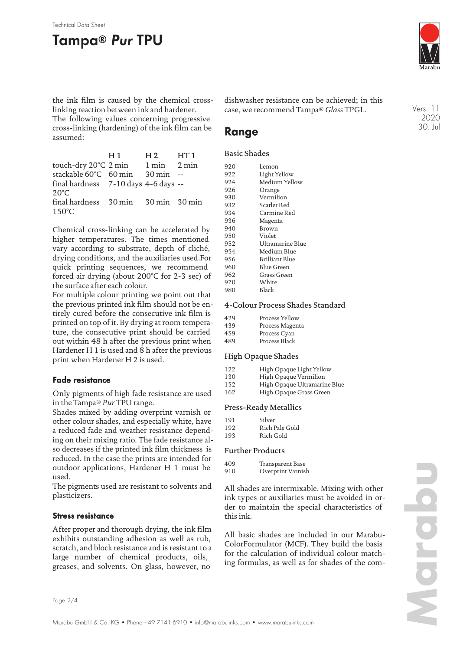#### Technical Data Sheet

## **Tampa® Pur TPU**



Vers. 11 2020 30. Jul

the ink film is caused by the chemical crosslinking reaction between ink and hardener.

The following values concerning progressive cross-linking (hardening) of the ink film can be assumed:

|                                            | H 1 | $H2$ $HT1$ |  |
|--------------------------------------------|-----|------------|--|
| touch-dry $20^{\circ}$ C 2 min 1 min 2 min |     |            |  |
| stackable 60°C 60 min 30 min               |     |            |  |
| final hardness 7-10 days 4-6 days --       |     |            |  |
| $20^{\circ}$ C                             |     |            |  |
| final hardness 30 min 30 min 30 min        |     |            |  |
| $150^{\circ}$ C                            |     |            |  |
|                                            |     |            |  |

Chemical cross-linking can be accelerated by higher temperatures. The times mentioned vary according to substrate, depth of cliché, drying conditions, and the auxiliaries used.For quick printing sequences, we recommend forced air drying (about 200°C for 2-3 sec) of the surface after each colour.

For multiple colour printing we point out that the previous printed ink film should not be entirely cured before the consecutive ink film is printed on top of it. By drying at room temperature, the consecutive print should be carried out within 48 h after the previous print when Hardener H 1 is used and 8 h after the previous print when Hardener H 2 is used.

#### **Fade resistance**

Only pigments of high fade resistance are used in the Tampa® *Pur* TPU range.

Shades mixed by adding overprint varnish or other colour shades, and especially white, have a reduced fade and weather resistance depending on their mixing ratio. The fade resistance also decreases if the printed ink film thickness is reduced. In the case the prints are intended for outdoor applications, Hardener H 1 must be used.

The pigments used are resistant to solvents and plasticizers.

#### **Stress resistance**

After proper and thorough drying, the ink film exhibits outstanding adhesion as well as rub, scratch, and block resistance and is resistant to a large number of chemical products, oils, greases, and solvents. On glass, however, no

dishwasher resistance can be achieved; in this case, we recommend Tampa® *Glass* TPGL.

## **Range**

#### Basic Shades

| 920 | Lemon            |
|-----|------------------|
| 922 | Light Yellow     |
| 924 | Medium Yellow    |
| 926 | Orange           |
| 930 | Vermilion        |
| 932 | Scarlet Red      |
| 934 | Carmine Red      |
| 936 | Magenta          |
| 940 | Brown            |
| 950 | Violet           |
| 952 | Ultramarine Blue |
| 954 | Medium Blue      |
| 956 | Brilliant Blue   |
| 960 | Blue Green       |
| 962 | Grass Green      |
| 970 | White            |
| 980 | Black            |

#### 4-Colour Process Shades Standard

| 429 | Process Yellow  |
|-----|-----------------|
| 439 | Process Magenta |
| 459 | Process Cyan    |
| 489 | Process Black   |

#### High Opaque Shades

| 122   | High Opaque Light Yellow |  |
|-------|--------------------------|--|
| - - - |                          |  |

- 130 High Opaque Vermilion<br>152 High Opaque Ultramarii
- High Opaque Ultramarine Blue 162 High Opaque Grass Green
- 

#### Press-Ready Metallics

| Silver         |
|----------------|
| Rich Pale Gold |
| Rich Gold      |
|                |

#### Further Products

| 409 | Transparent Base  |
|-----|-------------------|
| 910 | Overprint Varnish |

All shades are intermixable. Mixing with other ink types or auxiliaries must be avoided in order to maintain the special characteristics of this ink.

All basic shades are included in our Marabu-ColorFormulator (MCF). They build the basis for the calculation of individual colour matching formulas, as well as for shades of the com-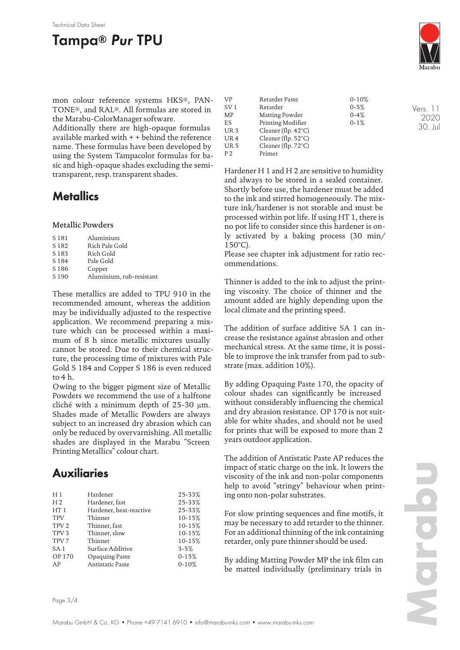## **Tampa® Pur TPU**



Vers. 11 2020 30. Jul

mon colour reference systems HKS®, PAN-TONE®, and RAL®. All formulas are stored in the Marabu-ColorManager software.

Additionally there are high-opaque formulas available marked with + + behind the reference name. These formulas have been developed by using the System Tampacolor formulas for basic and high-opaque shades excluding the semitransparent, resp. transparent shades.

### **Metallics**

#### Metallic Powders

| Rich Pale Gold<br>S <sub>182</sub>           |  |
|----------------------------------------------|--|
| Rich Gold<br>S <sub>183</sub>                |  |
| Pale Gold<br>S 184                           |  |
| S <sub>186</sub><br>Copper                   |  |
| S <sub>190</sub><br>Aluminium, rub-resistant |  |

These metallics are added to TPU 910 in the recommended amount, whereas the addition may be individually adjusted to the respective application. We recommend preparing a mixture which can be processed within a maximum of 8 h since metallic mixtures usually cannot be stored. Due to their chemical structure, the processing time of mixtures with Pale Gold S 184 and Copper S 186 is even reduced to 4 h.

Owing to the bigger pigment size of Metallic Powders we recommend the use of a halftone cliché with a minimum depth of 25-30 µm. Shades made of Metallic Powders are always subject to an increased dry abrasion which can only be reduced by overvarnishing. All metallic shades are displayed in the Marabu "Screen Printing Metallics" colour chart.

## **Auxiliaries**

| H <sub>1</sub>   | Hardener                | 25-33%    |
|------------------|-------------------------|-----------|
| H <sub>2</sub>   | Hardener, fast          | 25-33%    |
| HT1              | Hardener, heat-reactive | 25-33%    |
| <b>TPV</b>       | Thinner                 | 10-15%    |
| TPV <sub>2</sub> | Thinner, fast           | 10-15%    |
| TPV <sub>3</sub> | Thinner, slow           | 10-15%    |
| TPV <sub>7</sub> | Thinner                 | 10-15%    |
| SA <sub>1</sub>  | Surface Additive        | $3 - 5%$  |
| OP 170           | Opaquing Paste          | $0 - 15%$ |
| AP               | Antistatic Paste        | $0 - 10%$ |
|                  |                         |           |

| VP              | Retarder Paste                | $0-10%$  |  |
|-----------------|-------------------------------|----------|--|
| SV <sub>1</sub> | Retarder                      | $0 - 5%$ |  |
| MP              | Matting Powder                | $0 - 4%$ |  |
| ES              | Printing Modifier             | $0-1%$   |  |
| UR <sub>3</sub> | Cleaner (flp. $42^{\circ}$ C) |          |  |
| UR <sub>4</sub> | Cleaner (flp. $52^{\circ}$ C) |          |  |
| UR <sub>5</sub> | Cleaner (flp. $72^{\circ}$ C) |          |  |
| P <sub>2</sub>  | Primer                        |          |  |

Hardener H 1 and H 2 are sensitive to humidity and always to be stored in a sealed container. Shortly before use, the hardener must be added to the ink and stirred homogeneously. The mixture ink/hardener is not storable and must be processed within pot life. If using HT 1, there is no pot life to consider since this hardener is only activated by a baking process (30 min/ 150°C).

Please see chapter ink adjustment for ratio recommendations.

Thinner is added to the ink to adjust the printing viscosity. The choice of thinner and the amount added are highly depending upon the local climate and the printing speed.

The addition of surface additive SA 1 can increase the resistance against abrasion and other mechanical stress. At the same time, it is possible to improve the ink transfer from pad to substrate (max. addition 10%).

By adding Opaquing Paste 170, the opacity of colour shades can significantly be increased without considerably influencing the chemical and dry abrasion resistance. OP 170 is not suitable for white shades, and should not be used for prints that will be exposed to more than 2 years outdoor application.

The addition of Antistatic Paste AP reduces the impact of static charge on the ink. It lowers the viscosity of the ink and non-polar components help to avoid "stringy" behaviour when printing onto non-polar substrates.

For slow printing sequences and fine motifs, it may be necessary to add retarder to the thinner. For an additional thinning of the ink containing retarder, only pure thinner should be used.

By adding Matting Powder MP the ink film can be matted individually (preliminary trials in